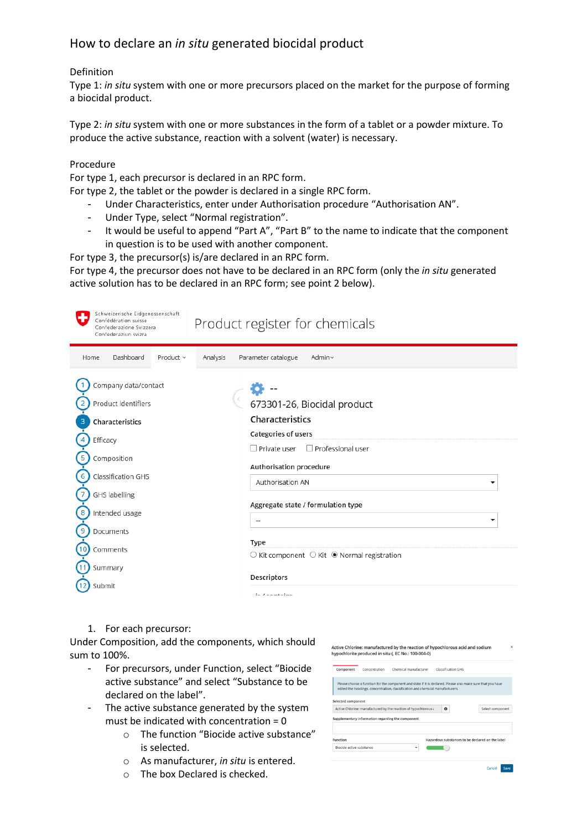## How to declare an *in situ* generated biocidal product

## Definition

Type 1: *in situ* system with one or more precursors placed on the market for the purpose of forming a biocidal product.

Type 2: *in situ* system with one or more substances in the form of a tablet or a powder mixture. To produce the active substance, reaction with a solvent (water) is necessary.

## Procedure

For type 1, each precursor is declared in an RPC form.

For type 2, the tablet or the powder is declared in a single RPC form.

- Under Characteristics, enter under Authorisation procedure "Authorisation AN".
- Under Type, select "Normal registration".
- It would be useful to append "Part A", "Part B" to the name to indicate that the component in question is to be used with another component.

For type 3, the precursor(s) is/are declared in an RPC form.

For type 4, the precursor does not have to be declared in an RPC form (only the *in situ* generated active solution has to be declared in an RPC form; see point 2 below).

| Schweizerische Eidgenossenschaft<br>Confédération suisse<br>Confederazione Svizzera<br>Confederaziun svizra                                                                                 | Product register for chemicals                                                                                                                                                                                                                                                                                                                                       |
|---------------------------------------------------------------------------------------------------------------------------------------------------------------------------------------------|----------------------------------------------------------------------------------------------------------------------------------------------------------------------------------------------------------------------------------------------------------------------------------------------------------------------------------------------------------------------|
| Dashboard<br>Product $\vee$<br>Analysis<br>Home                                                                                                                                             | Parameter catalogue<br>Admin~                                                                                                                                                                                                                                                                                                                                        |
| Company data/contact<br>Product identifiers<br>Characteristics<br>Efficacy<br>Composition<br>Classification GHS<br>GHS labelling<br>Intended usage<br>8<br>Documents<br>Comments<br>Summary | 673301-26, Biocidal product<br>Characteristics<br>Categories of users<br>$\Box$ Private user<br>$\Box$ Professional user<br>Authorisation procedure<br>Authorisation AN<br>▼<br>Aggregate state / formulation type<br>$\overline{\phantom{a}}$<br>Type<br>$\circlearrowright$ Kit component $\circlearrowright$ Kit $\circledast$ Normal registration<br>Descriptors |
| Submit                                                                                                                                                                                      | in Lonataine                                                                                                                                                                                                                                                                                                                                                         |

1. For each precursor:

Under Composition, add the components, which should sum to 100%.

- For precursors, under Function, select "Biocide active substance" and select "Substance to be declared on the label".
- The active substance generated by the system must be indicated with concentration  $= 0$ 
	- o The function "Biocide active substance" is selected.
	- o As manufacturer, *in situ* is entered.
	- o The box Declared is checked.